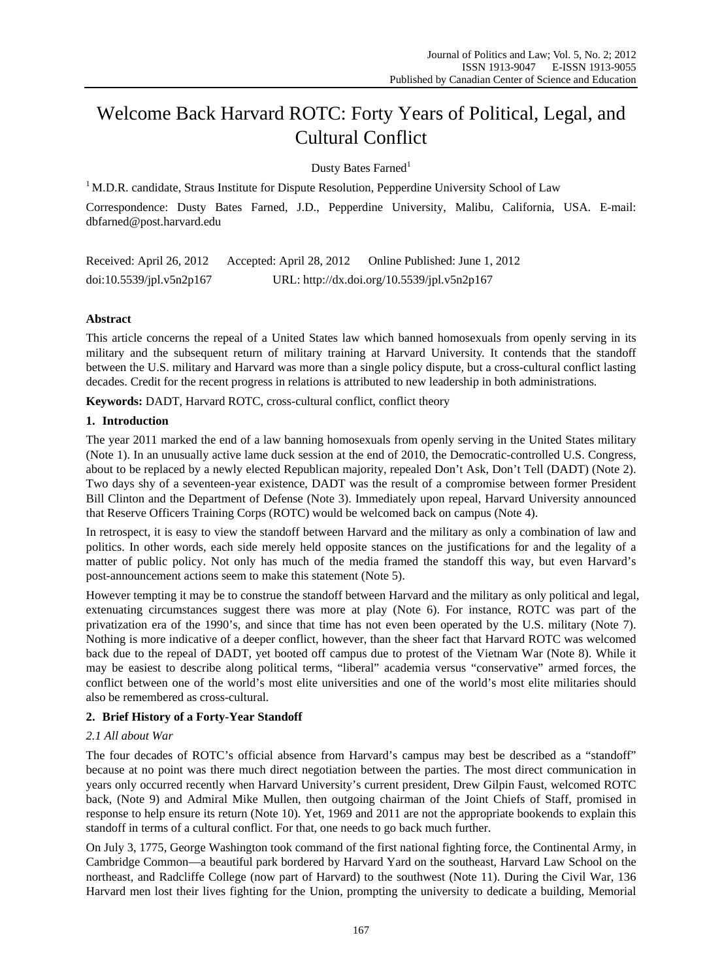# Welcome Back Harvard ROTC: Forty Years of Political, Legal, and Cultural Conflict

Dusty Bates Farned<sup>1</sup>

 $1 \text{ M.D.R. }$  candidate, Straus Institute for Dispute Resolution, Pepperdine University School of Law

Correspondence: Dusty Bates Farned, J.D., Pepperdine University, Malibu, California, USA. E-mail: dbfarned@post.harvard.edu

Received: April 26, 2012 Accepted: April 28, 2012 Online Published: June 1, 2012 doi:10.5539/jpl.v5n2p167 URL: http://dx.doi.org/10.5539/jpl.v5n2p167

# **Abstract**

This article concerns the repeal of a United States law which banned homosexuals from openly serving in its military and the subsequent return of military training at Harvard University. It contends that the standoff between the U.S. military and Harvard was more than a single policy dispute, but a cross-cultural conflict lasting decades. Credit for the recent progress in relations is attributed to new leadership in both administrations.

**Keywords:** DADT, Harvard ROTC, cross-cultural conflict, conflict theory

## **1. Introduction**

The year 2011 marked the end of a law banning homosexuals from openly serving in the United States military (Note 1). In an unusually active lame duck session at the end of 2010, the Democratic-controlled U.S. Congress, about to be replaced by a newly elected Republican majority, repealed Don't Ask, Don't Tell (DADT) (Note 2). Two days shy of a seventeen-year existence, DADT was the result of a compromise between former President Bill Clinton and the Department of Defense (Note 3). Immediately upon repeal, Harvard University announced that Reserve Officers Training Corps (ROTC) would be welcomed back on campus (Note 4).

In retrospect, it is easy to view the standoff between Harvard and the military as only a combination of law and politics. In other words, each side merely held opposite stances on the justifications for and the legality of a matter of public policy. Not only has much of the media framed the standoff this way, but even Harvard's post-announcement actions seem to make this statement (Note 5).

However tempting it may be to construe the standoff between Harvard and the military as only political and legal, extenuating circumstances suggest there was more at play (Note 6). For instance, ROTC was part of the privatization era of the 1990's, and since that time has not even been operated by the U.S. military (Note 7). Nothing is more indicative of a deeper conflict, however, than the sheer fact that Harvard ROTC was welcomed back due to the repeal of DADT, yet booted off campus due to protest of the Vietnam War (Note 8). While it may be easiest to describe along political terms, "liberal" academia versus "conservative" armed forces, the conflict between one of the world's most elite universities and one of the world's most elite militaries should also be remembered as cross-cultural.

## **2. Brief History of a Forty-Year Standoff**

## *2.1 All about War*

The four decades of ROTC's official absence from Harvard's campus may best be described as a "standoff" because at no point was there much direct negotiation between the parties. The most direct communication in years only occurred recently when Harvard University's current president, Drew Gilpin Faust, welcomed ROTC back, (Note 9) and Admiral Mike Mullen, then outgoing chairman of the Joint Chiefs of Staff, promised in response to help ensure its return (Note 10). Yet, 1969 and 2011 are not the appropriate bookends to explain this standoff in terms of a cultural conflict. For that, one needs to go back much further.

On July 3, 1775, George Washington took command of the first national fighting force, the Continental Army, in Cambridge Common—a beautiful park bordered by Harvard Yard on the southeast, Harvard Law School on the northeast, and Radcliffe College (now part of Harvard) to the southwest (Note 11). During the Civil War, 136 Harvard men lost their lives fighting for the Union, prompting the university to dedicate a building, Memorial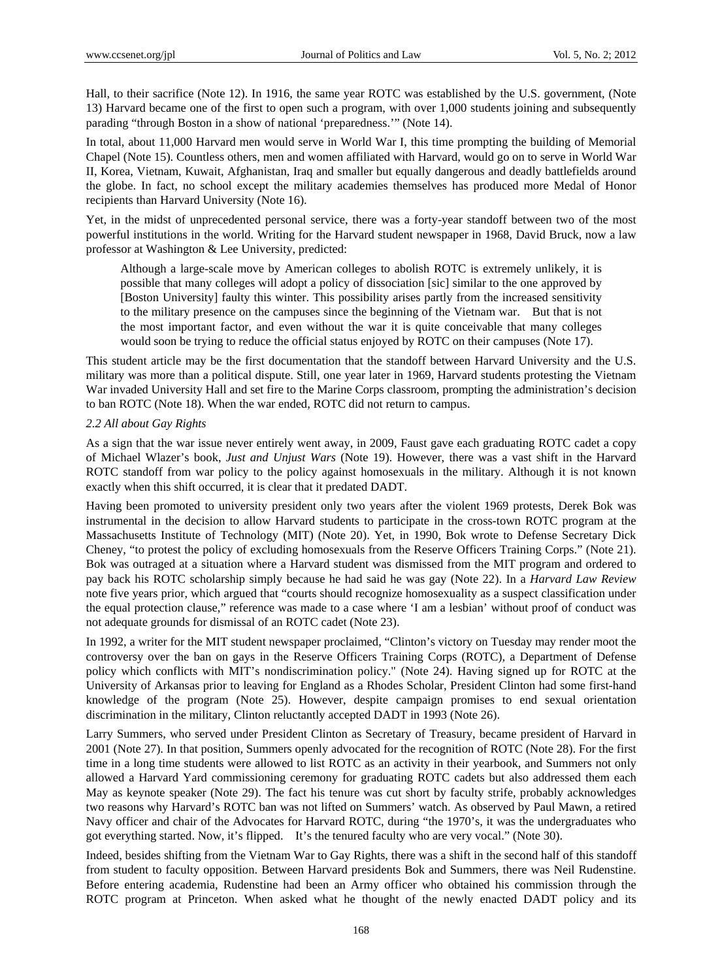Hall, to their sacrifice (Note 12). In 1916, the same year ROTC was established by the U.S. government, (Note 13) Harvard became one of the first to open such a program, with over 1,000 students joining and subsequently parading "through Boston in a show of national 'preparedness.'" (Note 14).

In total, about 11,000 Harvard men would serve in World War I, this time prompting the building of Memorial Chapel (Note 15). Countless others, men and women affiliated with Harvard, would go on to serve in World War II, Korea, Vietnam, Kuwait, Afghanistan, Iraq and smaller but equally dangerous and deadly battlefields around the globe. In fact, no school except the military academies themselves has produced more Medal of Honor recipients than Harvard University (Note 16).

Yet, in the midst of unprecedented personal service, there was a forty-year standoff between two of the most powerful institutions in the world. Writing for the Harvard student newspaper in 1968, David Bruck, now a law professor at Washington & Lee University, predicted:

Although a large-scale move by American colleges to abolish ROTC is extremely unlikely, it is possible that many colleges will adopt a policy of dissociation [sic] similar to the one approved by [Boston University] faulty this winter. This possibility arises partly from the increased sensitivity to the military presence on the campuses since the beginning of the Vietnam war. But that is not the most important factor, and even without the war it is quite conceivable that many colleges would soon be trying to reduce the official status enjoyed by ROTC on their campuses (Note 17).

This student article may be the first documentation that the standoff between Harvard University and the U.S. military was more than a political dispute. Still, one year later in 1969, Harvard students protesting the Vietnam War invaded University Hall and set fire to the Marine Corps classroom, prompting the administration's decision to ban ROTC (Note 18). When the war ended, ROTC did not return to campus.

### *2.2 All about Gay Rights*

As a sign that the war issue never entirely went away, in 2009, Faust gave each graduating ROTC cadet a copy of Michael Wlazer's book, *Just and Unjust Wars* (Note 19). However, there was a vast shift in the Harvard ROTC standoff from war policy to the policy against homosexuals in the military. Although it is not known exactly when this shift occurred, it is clear that it predated DADT.

Having been promoted to university president only two years after the violent 1969 protests, Derek Bok was instrumental in the decision to allow Harvard students to participate in the cross-town ROTC program at the Massachusetts Institute of Technology (MIT) (Note 20). Yet, in 1990, Bok wrote to Defense Secretary Dick Cheney, "to protest the policy of excluding homosexuals from the Reserve Officers Training Corps." (Note 21). Bok was outraged at a situation where a Harvard student was dismissed from the MIT program and ordered to pay back his ROTC scholarship simply because he had said he was gay (Note 22). In a *Harvard Law Review* note five years prior, which argued that "courts should recognize homosexuality as a suspect classification under the equal protection clause," reference was made to a case where 'I am a lesbian' without proof of conduct was not adequate grounds for dismissal of an ROTC cadet (Note 23).

In 1992, a writer for the MIT student newspaper proclaimed, "Clinton's victory on Tuesday may render moot the controversy over the ban on gays in the Reserve Officers Training Corps (ROTC), a Department of Defense policy which conflicts with MIT's nondiscrimination policy." (Note 24). Having signed up for ROTC at the University of Arkansas prior to leaving for England as a Rhodes Scholar, President Clinton had some first-hand knowledge of the program (Note 25). However, despite campaign promises to end sexual orientation discrimination in the military, Clinton reluctantly accepted DADT in 1993 (Note 26).

Larry Summers, who served under President Clinton as Secretary of Treasury, became president of Harvard in 2001 (Note 27). In that position, Summers openly advocated for the recognition of ROTC (Note 28). For the first time in a long time students were allowed to list ROTC as an activity in their yearbook, and Summers not only allowed a Harvard Yard commissioning ceremony for graduating ROTC cadets but also addressed them each May as keynote speaker (Note 29). The fact his tenure was cut short by faculty strife, probably acknowledges two reasons why Harvard's ROTC ban was not lifted on Summers' watch. As observed by Paul Mawn, a retired Navy officer and chair of the Advocates for Harvard ROTC, during "the 1970's, it was the undergraduates who got everything started. Now, it's flipped. It's the tenured faculty who are very vocal." (Note 30).

Indeed, besides shifting from the Vietnam War to Gay Rights, there was a shift in the second half of this standoff from student to faculty opposition. Between Harvard presidents Bok and Summers, there was Neil Rudenstine. Before entering academia, Rudenstine had been an Army officer who obtained his commission through the ROTC program at Princeton. When asked what he thought of the newly enacted DADT policy and its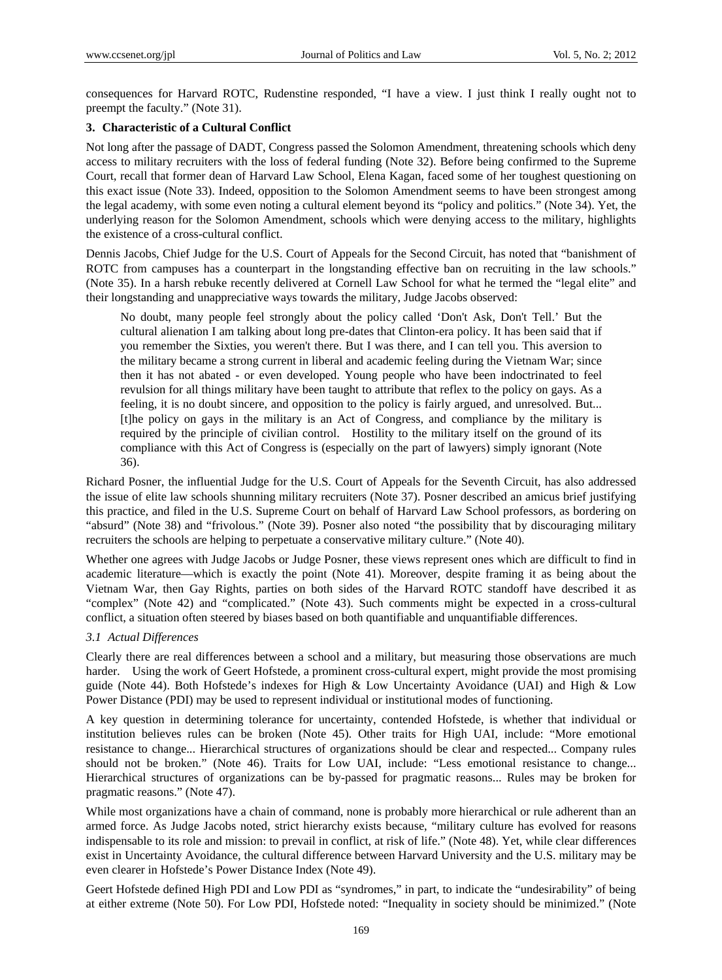consequences for Harvard ROTC, Rudenstine responded, "I have a view. I just think I really ought not to preempt the faculty." (Note 31).

## **3. Characteristic of a Cultural Conflict**

Not long after the passage of DADT, Congress passed the Solomon Amendment, threatening schools which deny access to military recruiters with the loss of federal funding (Note 32). Before being confirmed to the Supreme Court, recall that former dean of Harvard Law School, Elena Kagan, faced some of her toughest questioning on this exact issue (Note 33). Indeed, opposition to the Solomon Amendment seems to have been strongest among the legal academy, with some even noting a cultural element beyond its "policy and politics." (Note 34). Yet, the underlying reason for the Solomon Amendment, schools which were denying access to the military, highlights the existence of a cross-cultural conflict.

Dennis Jacobs, Chief Judge for the U.S. Court of Appeals for the Second Circuit, has noted that "banishment of ROTC from campuses has a counterpart in the longstanding effective ban on recruiting in the law schools." (Note 35). In a harsh rebuke recently delivered at Cornell Law School for what he termed the "legal elite" and their longstanding and unappreciative ways towards the military, Judge Jacobs observed:

No doubt, many people feel strongly about the policy called 'Don't Ask, Don't Tell.' But the cultural alienation I am talking about long pre-dates that Clinton-era policy. It has been said that if you remember the Sixties, you weren't there. But I was there, and I can tell you. This aversion to the military became a strong current in liberal and academic feeling during the Vietnam War; since then it has not abated - or even developed. Young people who have been indoctrinated to feel revulsion for all things military have been taught to attribute that reflex to the policy on gays. As a feeling, it is no doubt sincere, and opposition to the policy is fairly argued, and unresolved. But... [t]he policy on gays in the military is an Act of Congress, and compliance by the military is required by the principle of civilian control. Hostility to the military itself on the ground of its compliance with this Act of Congress is (especially on the part of lawyers) simply ignorant (Note 36).

Richard Posner, the influential Judge for the U.S. Court of Appeals for the Seventh Circuit, has also addressed the issue of elite law schools shunning military recruiters (Note 37). Posner described an amicus brief justifying this practice, and filed in the U.S. Supreme Court on behalf of Harvard Law School professors, as bordering on "absurd" (Note 38) and "frivolous." (Note 39). Posner also noted "the possibility that by discouraging military recruiters the schools are helping to perpetuate a conservative military culture." (Note 40).

Whether one agrees with Judge Jacobs or Judge Posner, these views represent ones which are difficult to find in academic literature—which is exactly the point (Note 41). Moreover, despite framing it as being about the Vietnam War, then Gay Rights, parties on both sides of the Harvard ROTC standoff have described it as "complex" (Note 42) and "complicated." (Note 43). Such comments might be expected in a cross-cultural conflict, a situation often steered by biases based on both quantifiable and unquantifiable differences.

### *3.1 Actual Differences*

Clearly there are real differences between a school and a military, but measuring those observations are much harder. Using the work of Geert Hofstede, a prominent cross-cultural expert, might provide the most promising guide (Note 44). Both Hofstede's indexes for High & Low Uncertainty Avoidance (UAI) and High & Low Power Distance (PDI) may be used to represent individual or institutional modes of functioning.

A key question in determining tolerance for uncertainty, contended Hofstede, is whether that individual or institution believes rules can be broken (Note 45). Other traits for High UAI, include: "More emotional resistance to change... Hierarchical structures of organizations should be clear and respected... Company rules should not be broken." (Note 46). Traits for Low UAI, include: "Less emotional resistance to change... Hierarchical structures of organizations can be by-passed for pragmatic reasons... Rules may be broken for pragmatic reasons." (Note 47).

While most organizations have a chain of command, none is probably more hierarchical or rule adherent than an armed force. As Judge Jacobs noted, strict hierarchy exists because, "military culture has evolved for reasons indispensable to its role and mission: to prevail in conflict, at risk of life." (Note 48). Yet, while clear differences exist in Uncertainty Avoidance, the cultural difference between Harvard University and the U.S. military may be even clearer in Hofstede's Power Distance Index (Note 49).

Geert Hofstede defined High PDI and Low PDI as "syndromes," in part, to indicate the "undesirability" of being at either extreme (Note 50). For Low PDI, Hofstede noted: "Inequality in society should be minimized." (Note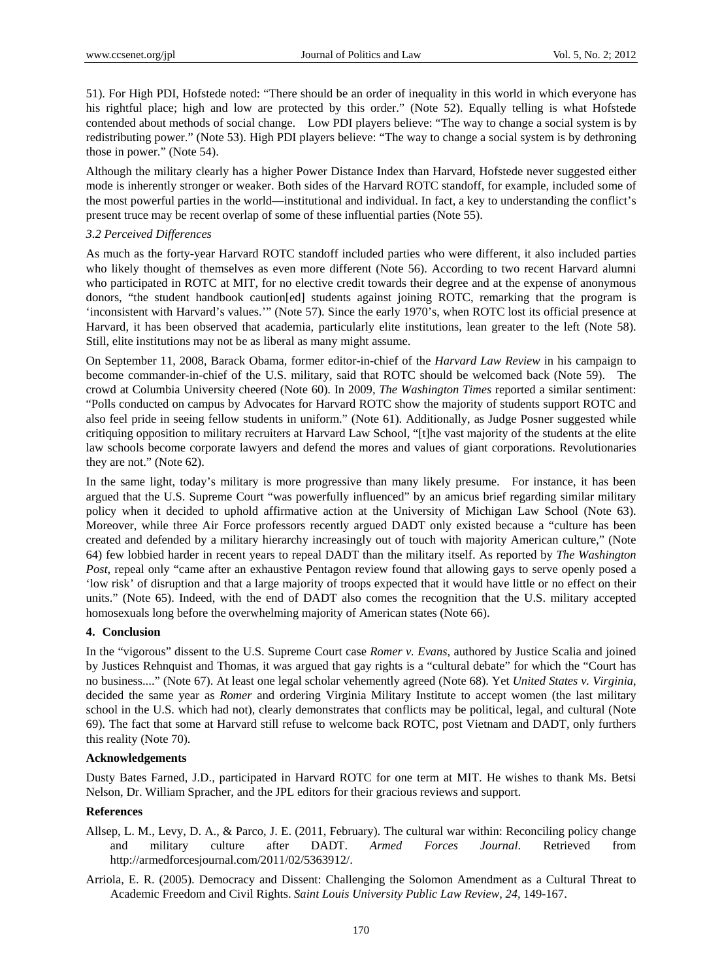51). For High PDI, Hofstede noted: "There should be an order of inequality in this world in which everyone has his rightful place; high and low are protected by this order." (Note 52). Equally telling is what Hofstede contended about methods of social change. Low PDI players believe: "The way to change a social system is by redistributing power." (Note 53). High PDI players believe: "The way to change a social system is by dethroning those in power." (Note 54).

Although the military clearly has a higher Power Distance Index than Harvard, Hofstede never suggested either mode is inherently stronger or weaker. Both sides of the Harvard ROTC standoff, for example, included some of the most powerful parties in the world—institutional and individual. In fact, a key to understanding the conflict's present truce may be recent overlap of some of these influential parties (Note 55).

#### *3.2 Perceived Differences*

As much as the forty-year Harvard ROTC standoff included parties who were different, it also included parties who likely thought of themselves as even more different (Note 56). According to two recent Harvard alumni who participated in ROTC at MIT, for no elective credit towards their degree and at the expense of anonymous donors, "the student handbook caution[ed] students against joining ROTC, remarking that the program is 'inconsistent with Harvard's values.'" (Note 57). Since the early 1970's, when ROTC lost its official presence at Harvard, it has been observed that academia, particularly elite institutions, lean greater to the left (Note 58). Still, elite institutions may not be as liberal as many might assume.

On September 11, 2008, Barack Obama, former editor-in-chief of the *Harvard Law Review* in his campaign to become commander-in-chief of the U.S. military, said that ROTC should be welcomed back (Note 59). The crowd at Columbia University cheered (Note 60). In 2009, *The Washington Times* reported a similar sentiment: "Polls conducted on campus by Advocates for Harvard ROTC show the majority of students support ROTC and also feel pride in seeing fellow students in uniform." (Note 61). Additionally, as Judge Posner suggested while critiquing opposition to military recruiters at Harvard Law School, "[t]he vast majority of the students at the elite law schools become corporate lawyers and defend the mores and values of giant corporations. Revolutionaries they are not." (Note 62).

In the same light, today's military is more progressive than many likely presume. For instance, it has been argued that the U.S. Supreme Court "was powerfully influenced" by an amicus brief regarding similar military policy when it decided to uphold affirmative action at the University of Michigan Law School (Note 63). Moreover, while three Air Force professors recently argued DADT only existed because a "culture has been created and defended by a military hierarchy increasingly out of touch with majority American culture," (Note 64) few lobbied harder in recent years to repeal DADT than the military itself. As reported by *The Washington Post*, repeal only "came after an exhaustive Pentagon review found that allowing gays to serve openly posed a 'low risk' of disruption and that a large majority of troops expected that it would have little or no effect on their units." (Note 65). Indeed, with the end of DADT also comes the recognition that the U.S. military accepted homosexuals long before the overwhelming majority of American states (Note 66).

### **4. Conclusion**

In the "vigorous" dissent to the U.S. Supreme Court case *Romer v. Evans*, authored by Justice Scalia and joined by Justices Rehnquist and Thomas, it was argued that gay rights is a "cultural debate" for which the "Court has no business...." (Note 67). At least one legal scholar vehemently agreed (Note 68). Yet *United States v. Virginia*, decided the same year as *Romer* and ordering Virginia Military Institute to accept women (the last military school in the U.S. which had not), clearly demonstrates that conflicts may be political, legal, and cultural (Note 69). The fact that some at Harvard still refuse to welcome back ROTC, post Vietnam and DADT, only furthers this reality (Note 70).

#### **Acknowledgements**

Dusty Bates Farned, J.D., participated in Harvard ROTC for one term at MIT. He wishes to thank Ms. Betsi Nelson, Dr. William Spracher, and the JPL editors for their gracious reviews and support.

### **References**

- Allsep, L. M., Levy, D. A., & Parco, J. E. (2011, February). The cultural war within: Reconciling policy change and military culture after DADT. *Armed Forces Journal*. Retrieved from http://armedforcesjournal.com/2011/02/5363912/.
- Arriola, E. R. (2005). Democracy and Dissent: Challenging the Solomon Amendment as a Cultural Threat to Academic Freedom and Civil Rights. *Saint Louis University Public Law Review, 24,* 149-167.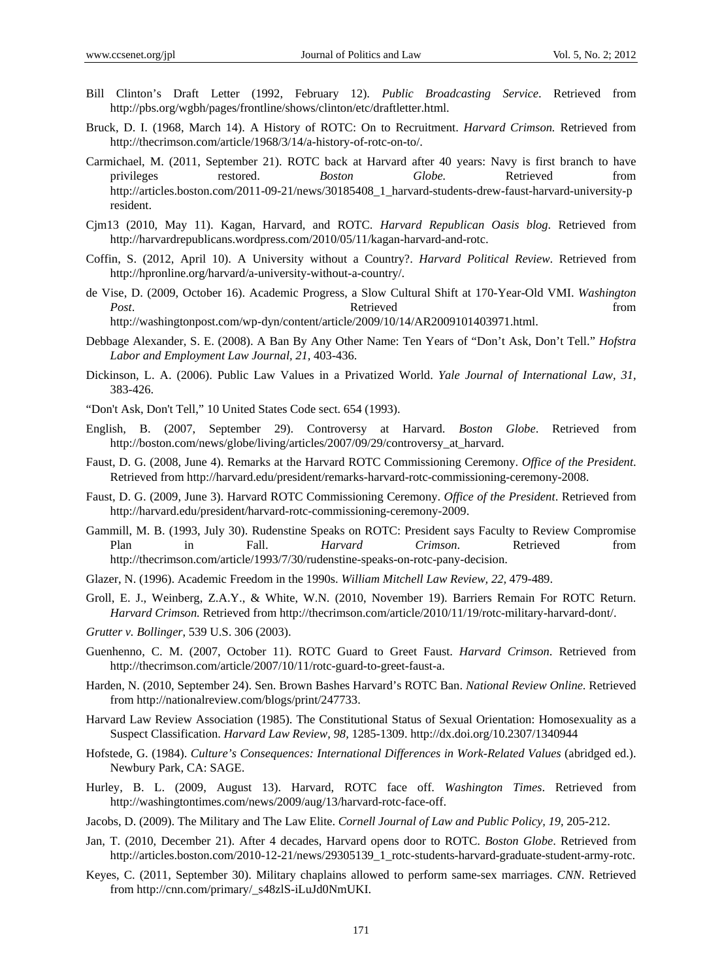- Bill Clinton's Draft Letter (1992, February 12). *Public Broadcasting Service*. Retrieved from http://pbs.org/wgbh/pages/frontline/shows/clinton/etc/draftletter.html.
- Bruck, D. I. (1968, March 14). A History of ROTC: On to Recruitment. *Harvard Crimson.* Retrieved from http://thecrimson.com/article/1968/3/14/a-history-of-rotc-on-to/.
- Carmichael, M. (2011, September 21). ROTC back at Harvard after 40 years: Navy is first branch to have privileges restored. *Boston Globe.* Retrieved from http://articles.boston.com/2011-09-21/news/30185408\_1\_harvard-students-drew-faust-harvard-university-p resident.
- Cjm13 (2010, May 11). Kagan, Harvard, and ROTC. *Harvard Republican Oasis blog*. Retrieved from http://harvardrepublicans.wordpress.com/2010/05/11/kagan-harvard-and-rotc.
- Coffin, S. (2012, April 10). A University without a Country?. *Harvard Political Review*. Retrieved from http://hpronline.org/harvard/a-university-without-a-country/.
- de Vise, D. (2009, October 16). Academic Progress, a Slow Cultural Shift at 170-Year-Old VMI. *Washington Post.* **Post**. **Retrieved example 1** *Post***.** *Post***.** *Post***.** *Post***.** *Post***.** *Post***.** *Post***.** *Post***.** *Post***.** *Post***.** *Post.* **<b>***Post. Post. Post. Post. Post. Post. Post.* http://washingtonpost.com/wp-dyn/content/article/2009/10/14/AR2009101403971.html.
- Debbage Alexander, S. E. (2008). A Ban By Any Other Name: Ten Years of "Don't Ask, Don't Tell." *Hofstra Labor and Employment Law Journal, 21,* 403-436.
- Dickinson, L. A. (2006). Public Law Values in a Privatized World. *Yale Journal of International Law, 31,* 383-426.
- "Don't Ask, Don't Tell," 10 United States Code sect. 654 (1993).
- English, B. (2007, September 29). Controversy at Harvard. *Boston Globe*. Retrieved from http://boston.com/news/globe/living/articles/2007/09/29/controversy\_at\_harvard.
- Faust, D. G. (2008, June 4). Remarks at the Harvard ROTC Commissioning Ceremony. *Office of the President*. Retrieved from http://harvard.edu/president/remarks-harvard-rotc-commissioning-ceremony-2008.
- Faust, D. G. (2009, June 3). Harvard ROTC Commissioning Ceremony. *Office of the President*. Retrieved from http://harvard.edu/president/harvard-rotc-commissioning-ceremony-2009.
- Gammill, M. B. (1993, July 30). Rudenstine Speaks on ROTC: President says Faculty to Review Compromise Plan in Fall. *Harvard Crimson*. Retrieved from http://thecrimson.com/article/1993/7/30/rudenstine-speaks-on-rotc-pany-decision.
- Glazer, N. (1996). Academic Freedom in the 1990s. *William Mitchell Law Review, 22,* 479-489.
- Groll, E. J., Weinberg, Z.A.Y., & White, W.N. (2010, November 19). Barriers Remain For ROTC Return. *Harvard Crimson.* Retrieved from http://thecrimson.com/article/2010/11/19/rotc-military-harvard-dont/.
- *Grutter v. Bollinger*, 539 U.S. 306 (2003).
- Guenhenno, C. M. (2007, October 11). ROTC Guard to Greet Faust. *Harvard Crimson*. Retrieved from http://thecrimson.com/article/2007/10/11/rotc-guard-to-greet-faust-a.
- Harden, N. (2010, September 24). Sen. Brown Bashes Harvard's ROTC Ban. *National Review Online*. Retrieved from http://nationalreview.com/blogs/print/247733.
- Harvard Law Review Association (1985). The Constitutional Status of Sexual Orientation: Homosexuality as a Suspect Classification. *Harvard Law Review, 98,* 1285-1309. http://dx.doi.org/10.2307/1340944
- Hofstede, G. (1984). *Culture's Consequences: International Differences in Work-Related Values* (abridged ed.). Newbury Park, CA: SAGE.
- Hurley, B. L. (2009, August 13). Harvard, ROTC face off. *Washington Times*. Retrieved from http://washingtontimes.com/news/2009/aug/13/harvard-rotc-face-off.
- Jacobs, D. (2009). The Military and The Law Elite. *Cornell Journal of Law and Public Policy, 19,* 205-212.
- Jan, T. (2010, December 21). After 4 decades, Harvard opens door to ROTC. *Boston Globe*. Retrieved from http://articles.boston.com/2010-12-21/news/29305139\_1\_rotc-students-harvard-graduate-student-army-rotc.
- Keyes, C. (2011, September 30). Military chaplains allowed to perform same-sex marriages. *CNN*. Retrieved from http://cnn.com/primary/\_s48zlS-iLuJd0NmUKI.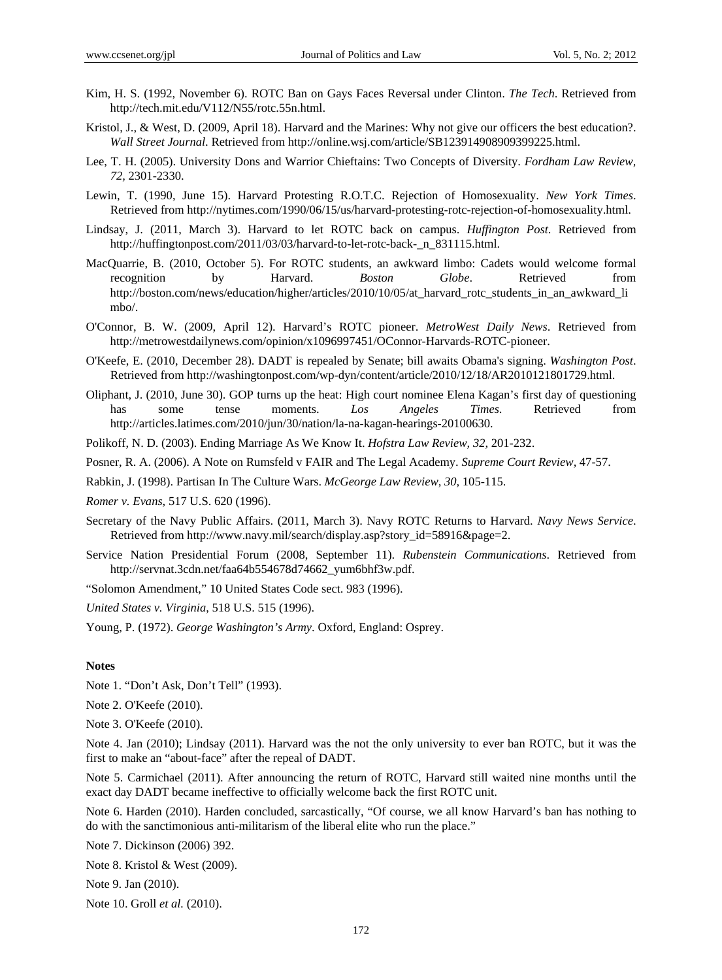- Kim, H. S. (1992, November 6). ROTC Ban on Gays Faces Reversal under Clinton. *The Tech*. Retrieved from http://tech.mit.edu/V112/N55/rotc.55n.html.
- Kristol, J., & West, D. (2009, April 18). Harvard and the Marines: Why not give our officers the best education?. *Wall Street Journal*. Retrieved from http://online.wsj.com/article/SB123914908909399225.html.
- Lee, T. H. (2005). University Dons and Warrior Chieftains: Two Concepts of Diversity. *Fordham Law Review, 72,* 2301-2330.
- Lewin, T. (1990, June 15). Harvard Protesting R.O.T.C. Rejection of Homosexuality. *New York Times*. Retrieved from http://nytimes.com/1990/06/15/us/harvard-protesting-rotc-rejection-of-homosexuality.html.
- Lindsay, J. (2011, March 3). Harvard to let ROTC back on campus. *Huffington Post*. Retrieved from http://huffingtonpost.com/2011/03/03/harvard-to-let-rotc-back- n 831115.html.
- MacQuarrie, B. (2010, October 5). For ROTC students, an awkward limbo: Cadets would welcome formal recognition by Harvard. *Boston Globe*. Retrieved from http://boston.com/news/education/higher/articles/2010/10/05/at\_harvard\_rotc\_students\_in\_an\_awkward\_li mbo/.
- O'Connor, B. W. (2009, April 12). Harvard's ROTC pioneer. *MetroWest Daily News*. Retrieved from http://metrowestdailynews.com/opinion/x1096997451/OConnor-Harvards-ROTC-pioneer.
- O'Keefe, E. (2010, December 28). DADT is repealed by Senate; bill awaits Obama's signing. *Washington Post*. Retrieved from http://washingtonpost.com/wp-dyn/content/article/2010/12/18/AR2010121801729.html.
- Oliphant, J. (2010, June 30). GOP turns up the heat: High court nominee Elena Kagan's first day of questioning has some tense moments. *Los Angeles Times*. Retrieved from http://articles.latimes.com/2010/jun/30/nation/la-na-kagan-hearings-20100630.
- Polikoff, N. D. (2003). Ending Marriage As We Know It. *Hofstra Law Review, 32,* 201-232.

Posner, R. A. (2006). A Note on Rumsfeld v FAIR and The Legal Academy. *Supreme Court Review,* 47-57.

Rabkin, J. (1998). Partisan In The Culture Wars. *McGeorge Law Review, 30,* 105-115.

*Romer v. Evans*, 517 U.S. 620 (1996).

- Secretary of the Navy Public Affairs. (2011, March 3). Navy ROTC Returns to Harvard. *Navy News Service*. Retrieved from http://www.navy.mil/search/display.asp?story\_id=58916&page=2.
- Service Nation Presidential Forum (2008, September 11). *Rubenstein Communications*. Retrieved from http://servnat.3cdn.net/faa64b554678d74662\_yum6bhf3w.pdf.

"Solomon Amendment," 10 United States Code sect. 983 (1996).

*United States v. Virginia*, 518 U.S. 515 (1996).

Young, P. (1972). *George Washington's Army*. Oxford, England: Osprey.

#### **Notes**

Note 1. "Don't Ask, Don't Tell" (1993).

Note 2. O'Keefe (2010).

Note 3. O'Keefe (2010).

Note 4. Jan (2010); Lindsay (2011). Harvard was the not the only university to ever ban ROTC, but it was the first to make an "about-face" after the repeal of DADT.

Note 5. Carmichael (2011). After announcing the return of ROTC, Harvard still waited nine months until the exact day DADT became ineffective to officially welcome back the first ROTC unit.

Note 6. Harden (2010). Harden concluded, sarcastically, "Of course, we all know Harvard's ban has nothing to do with the sanctimonious anti-militarism of the liberal elite who run the place."

Note 7. Dickinson (2006) 392.

Note 8. Kristol & West (2009).

Note 9. Jan (2010).

Note 10. Groll *et al.* (2010).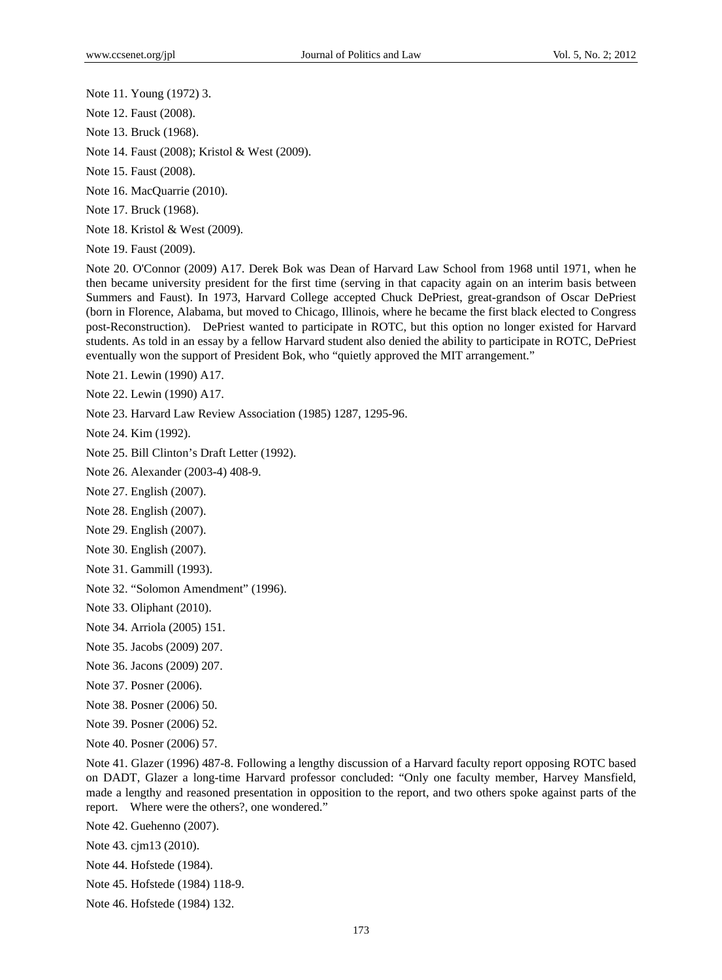Note 11. Young (1972) 3.

Note 12. Faust (2008).

Note 13. Bruck (1968).

Note 14. Faust (2008); Kristol & West (2009).

Note 15. Faust (2008).

Note 16. MacQuarrie (2010).

Note 17. Bruck (1968).

Note 18. Kristol & West (2009).

Note 19. Faust (2009).

Note 20. O'Connor (2009) A17. Derek Bok was Dean of Harvard Law School from 1968 until 1971, when he then became university president for the first time (serving in that capacity again on an interim basis between Summers and Faust). In 1973, Harvard College accepted Chuck DePriest, great-grandson of Oscar DePriest (born in Florence, Alabama, but moved to Chicago, Illinois, where he became the first black elected to Congress post-Reconstruction). DePriest wanted to participate in ROTC, but this option no longer existed for Harvard students. As told in an essay by a fellow Harvard student also denied the ability to participate in ROTC, DePriest eventually won the support of President Bok, who "quietly approved the MIT arrangement."

Note 21. Lewin (1990) A17.

Note 22. Lewin (1990) A17.

Note 23. Harvard Law Review Association (1985) 1287, 1295-96.

Note 24. Kim (1992).

Note 25. Bill Clinton's Draft Letter (1992).

Note 26. Alexander (2003-4) 408-9.

Note 27. English (2007).

Note 28. English (2007).

- Note 29. English (2007).
- Note 30. English (2007).
- Note 31. Gammill (1993).
- Note 32. "Solomon Amendment" (1996).
- Note 33. Oliphant (2010).

Note 34. Arriola (2005) 151.

- Note 35. Jacobs (2009) 207.
- Note 36. Jacons (2009) 207.

Note 37. Posner (2006).

Note 38. Posner (2006) 50.

Note 39. Posner (2006) 52.

Note 40. Posner (2006) 57.

Note 41. Glazer (1996) 487-8. Following a lengthy discussion of a Harvard faculty report opposing ROTC based on DADT, Glazer a long-time Harvard professor concluded: "Only one faculty member, Harvey Mansfield, made a lengthy and reasoned presentation in opposition to the report, and two others spoke against parts of the report. Where were the others?, one wondered."

Note 42. Guehenno (2007).

Note 43. cjm13 (2010).

Note 44. Hofstede (1984).

- Note 45. Hofstede (1984) 118-9.
- Note 46. Hofstede (1984) 132.